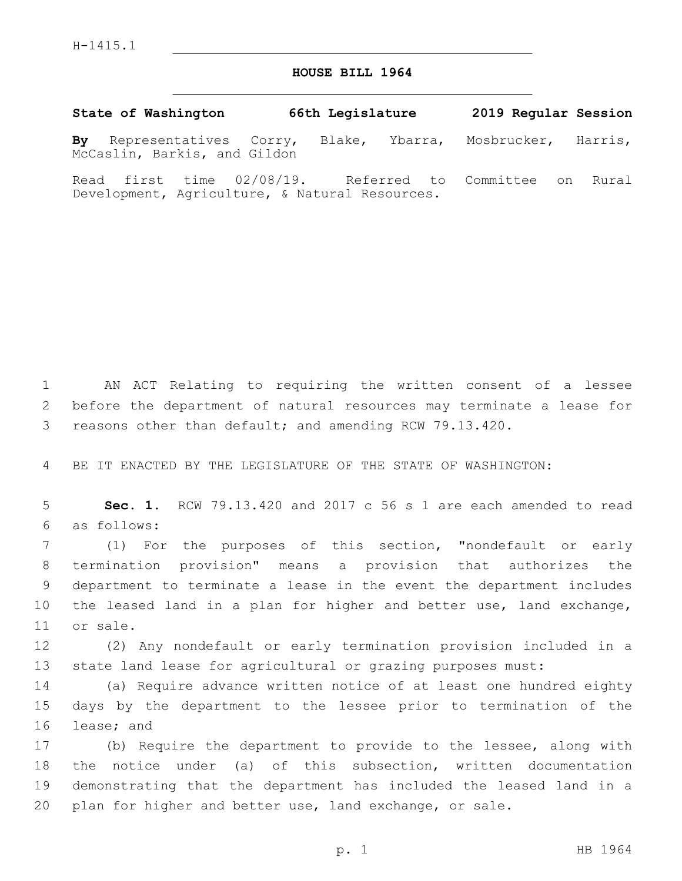## **HOUSE BILL 1964**

**State of Washington 66th Legislature 2019 Regular Session By** Representatives Corry, Blake, Ybarra, Mosbrucker, Harris, McCaslin, Barkis, and Gildon

Read first time 02/08/19. Referred to Committee on Rural Development, Agriculture, & Natural Resources.

 AN ACT Relating to requiring the written consent of a lessee before the department of natural resources may terminate a lease for reasons other than default; and amending RCW 79.13.420.

BE IT ENACTED BY THE LEGISLATURE OF THE STATE OF WASHINGTON:

 **Sec. 1.** RCW 79.13.420 and 2017 c 56 s 1 are each amended to read as follows:6

 (1) For the purposes of this section, "nondefault or early termination provision" means a provision that authorizes the department to terminate a lease in the event the department includes the leased land in a plan for higher and better use, land exchange, 11 or sale.

 (2) Any nondefault or early termination provision included in a state land lease for agricultural or grazing purposes must:

 (a) Require advance written notice of at least one hundred eighty days by the department to the lessee prior to termination of the 16 lease; and

 (b) Require the department to provide to the lessee, along with the notice under (a) of this subsection, written documentation demonstrating that the department has included the leased land in a plan for higher and better use, land exchange, or sale.